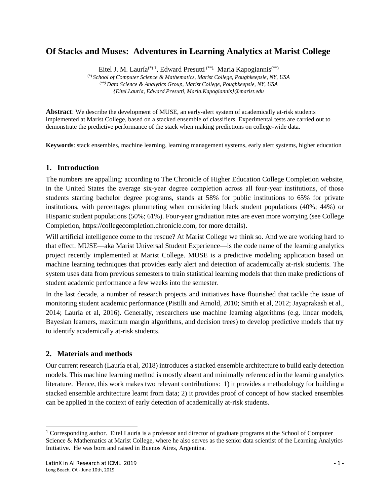# **Of Stacks and Muses: Adventures in Learning Analytics at Marist College**

Eitel J. M. Lauría<sup>(\*) 1</sup>, Edward Presutti<sup>(\*\*),</sup> Maria Kapogiannis<sup>(\*\*)</sup>

(\*) *School of Computer Science & Mathematics, Marist College, Poughkeepsie, NY, USA (\*\*) Data Science & Analytics Group, Marist College, Poughkeepsie, NY, USA {Eitel.Lauria, Edward.Presutti, Maria.Kapogiannis}@marist.edu*

**Abstract**: We describe the development of MUSE, an early-alert system of academically at-risk students implemented at Marist College, based on a stacked ensemble of classifiers. Experimental tests are carried out to demonstrate the predictive performance of the stack when making predictions on college-wide data.

**Keywords**: stack ensembles, machine learning, learning management systems, early alert systems, higher education

#### **1. Introduction**

The numbers are appalling: according to The Chronicle of Higher Education College Completion website, in the United States the average six-year degree completion across all four-year institutions, of those students starting bachelor degree programs, stands at 58% for public institutions to 65% for private institutions, with percentages plummeting when considering black student populations (40%; 44%) or Hispanic student populations (50%; 61%). Four-year graduation rates are even more worrying (see College Completion, https://collegecompletion.chronicle.com, for more details).

Will artificial intelligence come to the rescue? At Marist College we think so. And we are working hard to that effect. MUSE—aka Marist Universal Student Experience—is the code name of the learning analytics project recently implemented at Marist College. MUSE is a predictive modeling application based on machine learning techniques that provides early alert and detection of academically at-risk students. The system uses data from previous semesters to train statistical learning models that then make predictions of student academic performance a few weeks into the semester.

In the last decade, a number of research projects and initiatives have flourished that tackle the issue of monitoring student academic performance (Pistilli and Arnold, 2010; Smith et al, 2012; Jayaprakash et al., 2014; Lauría et al, 2016). Generally, researchers use machine learning algorithms (e.g. linear models, Bayesian learners, maximum margin algorithms, and decision trees) to develop predictive models that try to identify academically at-risk students.

### **2. Materials and methods**

Our current research (Lauría et al, 2018) introduces a stacked ensemble architecture to build early detection models. This machine learning method is mostly absent and minimally referenced in the learning analytics literature. Hence, this work makes two relevant contributions: 1) it provides a methodology for building a stacked ensemble architecture learnt from data; 2) it provides proof of concept of how stacked ensembles can be applied in the context of early detection of academically at-risk students.

<sup>1</sup> Corresponding author. Eitel Lauría is a professor and director of graduate programs at the School of Computer Science & Mathematics at Marist College, where he also serves as the senior data scientist of the Learning Analytics Initiative. He was born and raised in Buenos Aires, Argentina.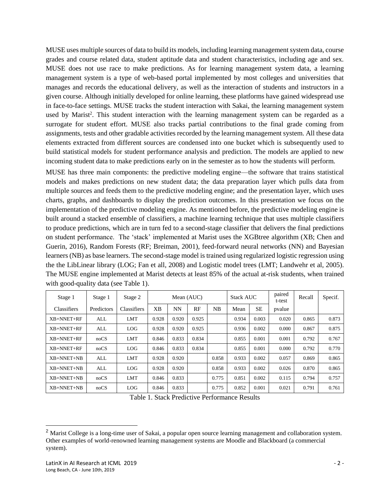MUSE uses multiple sources of data to build its models, including learning management system data, course grades and course related data, student aptitude data and student characteristics, including age and sex. MUSE does not use race to make predictions. As for learning management system data, a learning management system is a type of web-based portal implemented by most colleges and universities that manages and records the educational delivery, as well as the interaction of students and instructors in a given course. Although initially developed for online learning, these platforms have gained widespread use in face-to-face settings. MUSE tracks the student interaction with Sakai, the learning management system used by Marist<sup>2</sup>. This student interaction with the learning management system can be regarded as a surrogate for student effort. MUSE also tracks partial contributions to the final grade coming from assignments, tests and other gradable activities recorded by the learning management system. All these data elements extracted from different sources are condensed into one bucket which is subsequently used to build statistical models for student performance analysis and prediction. The models are applied to new incoming student data to make predictions early on in the semester as to how the students will perform.

MUSE has three main components: the predictive modeling engine—the software that trains statistical models and makes predictions on new student data; the data preparation layer which pulls data from multiple sources and feeds them to the predictive modeling engine; and the presentation layer, which uses charts, graphs, and dashboards to display the prediction outcomes. In this presentation we focus on the implementation of the predictive modeling engine. As mentioned before, the predictive modeling engine is built around a stacked ensemble of classifiers, a machine learning technique that uses multiple classifiers to produce predictions, which are in turn fed to a second-stage classifier that delivers the final predictions on student performance. The 'stack' implemented at Marist uses the XGBtree algorithm (XB; Chen and Guerin, 2016), Random Forests (RF; Breiman, 2001), feed-forward neural networks (NN) and Bayesian learners (NB) as base learners. The second-stage model is trained using regularized logistic regression using the the LibLinear library (LOG; Fan et all, 2008) and Logistic model trees (LMT; Landwehr et al, 2005). The MUSE engine implemented at Marist detects at least 85% of the actual at-risk students, when trained with good-quality data (see Table 1).

| Stage 1      | Stage 1    | Stage 2     | Mean (AUC) |       |       |       | <b>Stack AUC</b> |       | paired<br>t-test | Recall | Specif. |
|--------------|------------|-------------|------------|-------|-------|-------|------------------|-------|------------------|--------|---------|
| Classifiers  | Predictors | Classifiers | XВ         | NN    | RF    | NB    | Mean             | SE    | pvalue           |        |         |
| $XB+NNET+RF$ | ALL        | <b>LMT</b>  | 0.928      | 0.920 | 0.925 |       | 0.934            | 0.003 | 0.020            | 0.865  | 0.873   |
| XB+NNET+RF   | <b>ALL</b> | LOG         | 0.928      | 0.920 | 0.925 |       | 0.936            | 0.002 | 0.000            | 0.867  | 0.875   |
| $XB+NNET+RF$ | nocS       | <b>LMT</b>  | 0.846      | 0.833 | 0.834 |       | 0.855            | 0.001 | 0.001            | 0.792  | 0.767   |
| XB+NNET+RF   | noCS       | <b>LOG</b>  | 0.846      | 0.833 | 0.834 |       | 0.855            | 0.001 | 0.000            | 0.792  | 0.770   |
| $XB+NNET+NB$ | <b>ALL</b> | <b>LMT</b>  | 0.928      | 0.920 |       | 0.858 | 0.933            | 0.002 | 0.057            | 0.869  | 0.865   |
| $XB+NNET+NB$ | <b>ALL</b> | <b>LOG</b>  | 0.928      | 0.920 |       | 0.858 | 0.933            | 0.002 | 0.026            | 0.870  | 0.865   |
| XB+NNET+NB   | nocS       | <b>LMT</b>  | 0.846      | 0.833 |       | 0.775 | 0.851            | 0.002 | 0.115            | 0.794  | 0.757   |
| XB+NNET+NB   | nocS       | <b>LOG</b>  | 0.846      | 0.833 |       | 0.775 | 0.852            | 0.001 | 0.021            | 0.791  | 0.761   |

Table 1. Stack Predictive Performance Results

<sup>&</sup>lt;sup>2</sup> Marist College is a long-time user of Sakai, a popular open source learning management and collaboration system. Other examples of world-renowned learning management systems are Moodle and Blackboard (a commercial system).